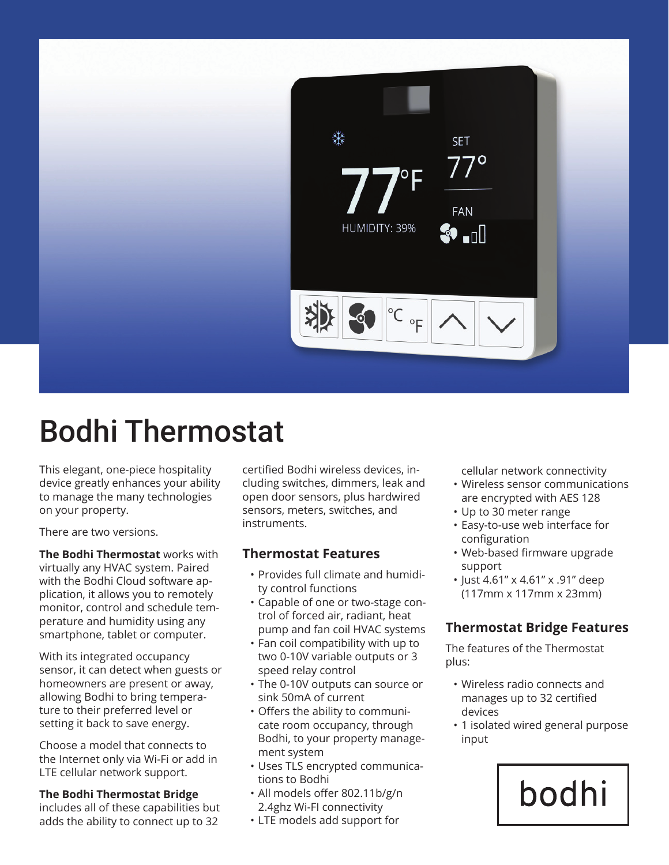

# Bodhi Thermostat

This elegant, one-piece hospitality device greatly enhances your ability to manage the many technologies on your property.

There are two versions.

**The Bodhi Thermostat** works with virtually any HVAC system. Paired with the Bodhi Cloud software application, it allows you to remotely monitor, control and schedule temperature and humidity using any smartphone, tablet or computer.

With its integrated occupancy sensor, it can detect when guests or homeowners are present or away, allowing Bodhi to bring temperature to their preferred level or setting it back to save energy.

Choose a model that connects to the Internet only via Wi-Fi or add in LTE cellular network support.

#### **The Bodhi Thermostat Bridge**

includes all of these capabilities but adds the ability to connect up to 32

certified Bodhi wireless devices, including switches, dimmers, leak and open door sensors, plus hardwired sensors, meters, switches, and instruments.

### **Thermostat Features**

- Provides full climate and humidity control functions
- Capable of one or two-stage control of forced air, radiant, heat pump and fan coil HVAC systems
- Fan coil compatibility with up to two 0-10V variable outputs or 3 speed relay control
- The 0-10V outputs can source or sink 50mA of current
- Offers the ability to communicate room occupancy, through Bodhi, to your property management system
- Uses TLS encrypted communications to Bodhi
- All models offer 802.11b/g/n 2.4ghz Wi-FI connectivity
- LTE models add support for

cellular network connectivity

- Wireless sensor communications are encrypted with AES 128
- Up to 30 meter range
- Easy-to-use web interface for configuration
- Web-based firmware upgrade support
- Just 4.61" x 4.61" x .91" deep (117mm x 117mm x 23mm)

### **Thermostat Bridge Features**

The features of the Thermostat plus:

- Wireless radio connects and manages up to 32 certified devices
- 1 isolated wired general purpose input